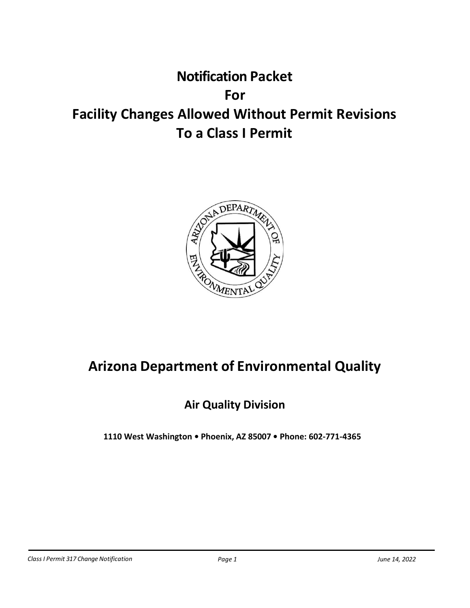# **Notification Packet For Facility Changes Allowed Without Permit Revisions To a Class I Permit**



# **Arizona Department of Environmental Quality**

## **Air Quality Division**

**1110 West Washington • Phoenix, AZ 85007 • Phone: 602-771-4365**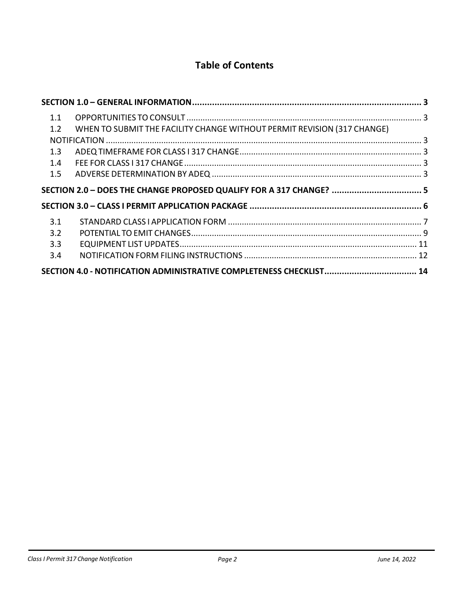## **Table of Contents**

| 1.1 |                                                                         |  |
|-----|-------------------------------------------------------------------------|--|
| 1.2 | WHEN TO SUBMIT THE FACILITY CHANGE WITHOUT PERMIT REVISION (317 CHANGE) |  |
|     |                                                                         |  |
| 1.3 |                                                                         |  |
| 1.4 |                                                                         |  |
| 1.5 |                                                                         |  |
|     | SECTION 2.0 - DOES THE CHANGE PROPOSED QUALIFY FOR A 317 CHANGE?  5     |  |
|     |                                                                         |  |
| 3.1 |                                                                         |  |
| 3.2 |                                                                         |  |
| 3.3 |                                                                         |  |
| 3.4 |                                                                         |  |
|     | SECTION 4.0 - NOTIFICATION ADMINISTRATIVE COMPLETENESS CHECKLIST 14     |  |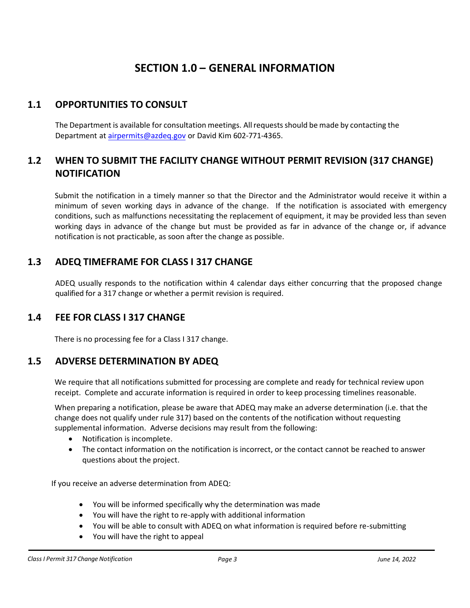## **SECTION 1.0 – GENERAL INFORMATION**

### <span id="page-2-1"></span><span id="page-2-0"></span>**1.1 OPPORTUNITIES TO CONSULT**

The Department is available for consultation meetings. All requests should be made by contacting the Department at [airpermits@azdeq.gov](mailto:airpermits@azdeq.gov) or David Kim 602-771-4365.

## <span id="page-2-2"></span>**1.2 WHEN TO SUBMIT THE FACILITY CHANGE WITHOUT PERMIT REVISION (317 CHANGE) NOTIFICATION**

Submit the notification in a timely manner so that the Director and the Administrator would receive it within a minimum of seven working days in advance of the change. If the notification is associated with emergency conditions, such as malfunctions necessitating the replacement of equipment, it may be provided less than seven working days in advance of the change but must be provided as far in advance of the change or, if advance notification is not practicable, as soon after the change as possible.

### <span id="page-2-3"></span>**1.3 ADEQ TIMEFRAME FOR CLASS I 317 CHANGE**

ADEQ usually responds to the notification within 4 calendar days either concurring that the proposed change qualified for a 317 change or whether a permit revision is required.

#### <span id="page-2-4"></span>**1.4 FEE FOR CLASS I 317 CHANGE**

There is no processing fee for a Class I 317 change.

#### <span id="page-2-5"></span>**1.5 ADVERSE DETERMINATION BY ADEQ**

We require that all notifications submitted for processing are complete and ready for technical review upon receipt. Complete and accurate information is required in order to keep processing timelines reasonable.

When preparing a notification, please be aware that ADEQ may make an adverse determination (i.e. that the change does not qualify under rule 317) based on the contents of the notification without requesting supplemental information. Adverse decisions may result from the following:

- Notification is incomplete.
- The contact information on the notification is incorrect, or the contact cannot be reached to answer questions about the project.

If you receive an adverse determination from ADEQ:

- You will be informed specifically why the determination was made
- You will have the right to re-apply with additional information
- You will be able to consult with ADEQ on what information is required before re-submitting
- You will have the right to appeal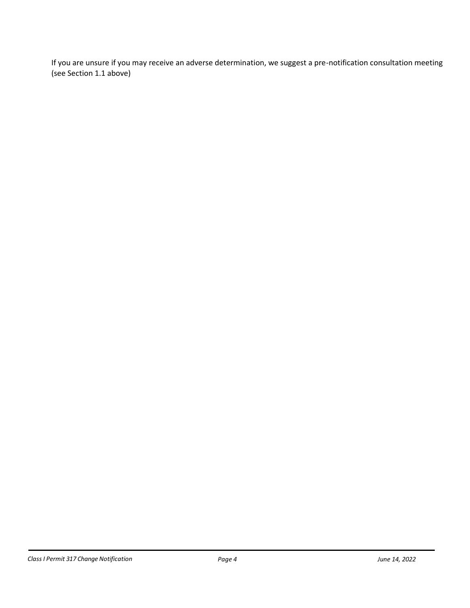If you are unsure if you may receive an adverse determination, we suggest a pre-notification consultation meeting (see Sectio[n 1.1](#page-2-1) above)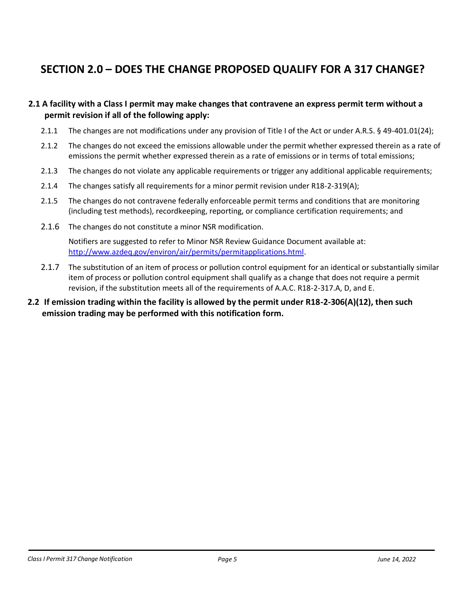## <span id="page-4-0"></span>**SECTION 2.0 – DOES THE CHANGE PROPOSED QUALIFY FOR A 317 CHANGE?**

#### **2.1 A facility with a Class I permit may make changes that contravene an express permit term without a permit revision if all of the following apply:**

- 2.1.1 The changes are not modifications under any provision of Title I of the Act or under A.R.S. § 49-401.01(24);
- 2.1.2 The changes do not exceed the emissions allowable under the permit whether expressed therein as a rate of emissions the permit whether expressed therein as a rate of emissions or in terms of total emissions;
- 2.1.3 The changes do not violate any applicable requirements or trigger any additional applicable requirements;
- 2.1.4 The changes satisfy all requirements for a minor permit revision under R18-2-319(A);
- 2.1.5 The changes do not contravene federally enforceable permit terms and conditions that are monitoring (including test methods), recordkeeping, reporting, or compliance certification requirements; and
- 2.1.6 The changes do not constitute a minor NSR modification.

Notifiers are suggested to refer to Minor NSR Review Guidance Document available at: [http://www.azdeq.gov/environ/air/permits/permitapplications.html.](http://www.azdeq.gov/environ/air/permits/permitapplications.html)

- 2.1.7 The substitution of an item of process or pollution control equipment for an identical or substantially similar item of process or pollution control equipment shall qualify as a change that does not require a permit revision, if the substitution meets all of the requirements of A.A.C. R18-2-317.A, D, and E.
- **2.2 If emission trading within the facility is allowed by the permit under R18-2-306(A)(12), then such emission trading may be performed with this notification form.**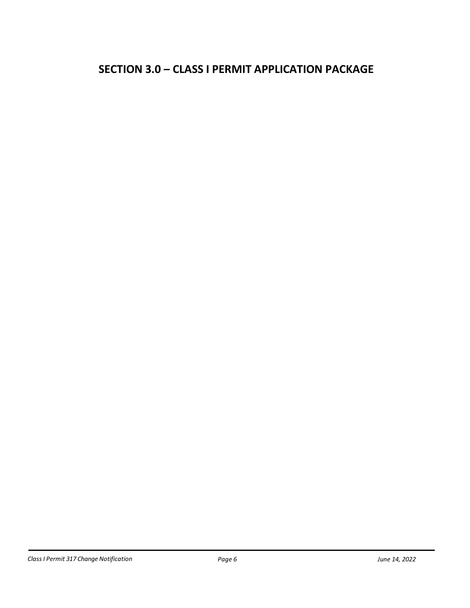## <span id="page-5-0"></span>**SECTION 3.0 – CLASS I PERMIT APPLICATION PACKAGE**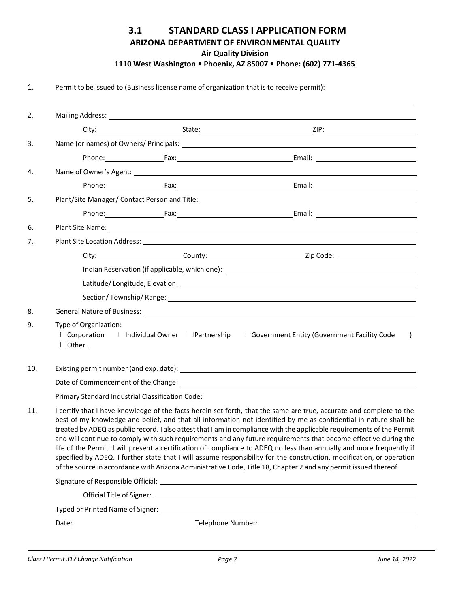#### **3.1 STANDARD CLASS I APPLICATION FORM ARIZONA DEPARTMENT OF ENVIRONMENTAL QUALITY Air Quality Division 1110 West Washington • Phoenix, AZ 85007 • Phone: (602) 771-4365**

<span id="page-6-0"></span>1. Permit to be issued to (Business license name of organization that is to receive permit):

| 2.  |                       |                                                               |                                                                                                                                                                                                                                                                                                                                                                                                                                                                                                                                                                                                                                                                                                                                                                                                                                                             |  |  |  |  |  |  |
|-----|-----------------------|---------------------------------------------------------------|-------------------------------------------------------------------------------------------------------------------------------------------------------------------------------------------------------------------------------------------------------------------------------------------------------------------------------------------------------------------------------------------------------------------------------------------------------------------------------------------------------------------------------------------------------------------------------------------------------------------------------------------------------------------------------------------------------------------------------------------------------------------------------------------------------------------------------------------------------------|--|--|--|--|--|--|
|     |                       |                                                               |                                                                                                                                                                                                                                                                                                                                                                                                                                                                                                                                                                                                                                                                                                                                                                                                                                                             |  |  |  |  |  |  |
| 3.  |                       |                                                               |                                                                                                                                                                                                                                                                                                                                                                                                                                                                                                                                                                                                                                                                                                                                                                                                                                                             |  |  |  |  |  |  |
|     |                       |                                                               |                                                                                                                                                                                                                                                                                                                                                                                                                                                                                                                                                                                                                                                                                                                                                                                                                                                             |  |  |  |  |  |  |
| 4.  |                       |                                                               |                                                                                                                                                                                                                                                                                                                                                                                                                                                                                                                                                                                                                                                                                                                                                                                                                                                             |  |  |  |  |  |  |
|     |                       |                                                               |                                                                                                                                                                                                                                                                                                                                                                                                                                                                                                                                                                                                                                                                                                                                                                                                                                                             |  |  |  |  |  |  |
| 5.  |                       |                                                               |                                                                                                                                                                                                                                                                                                                                                                                                                                                                                                                                                                                                                                                                                                                                                                                                                                                             |  |  |  |  |  |  |
|     |                       |                                                               |                                                                                                                                                                                                                                                                                                                                                                                                                                                                                                                                                                                                                                                                                                                                                                                                                                                             |  |  |  |  |  |  |
| 6.  |                       |                                                               | Plant Site Name: 1996. The Contract of the Contract of the Contract of the Contract of the Contract of the Contract of the Contract of the Contract of the Contract of the Contract of the Contract of the Contract of the Con                                                                                                                                                                                                                                                                                                                                                                                                                                                                                                                                                                                                                              |  |  |  |  |  |  |
| 7.  |                       |                                                               |                                                                                                                                                                                                                                                                                                                                                                                                                                                                                                                                                                                                                                                                                                                                                                                                                                                             |  |  |  |  |  |  |
|     |                       |                                                               |                                                                                                                                                                                                                                                                                                                                                                                                                                                                                                                                                                                                                                                                                                                                                                                                                                                             |  |  |  |  |  |  |
|     |                       |                                                               |                                                                                                                                                                                                                                                                                                                                                                                                                                                                                                                                                                                                                                                                                                                                                                                                                                                             |  |  |  |  |  |  |
|     |                       |                                                               |                                                                                                                                                                                                                                                                                                                                                                                                                                                                                                                                                                                                                                                                                                                                                                                                                                                             |  |  |  |  |  |  |
|     |                       |                                                               |                                                                                                                                                                                                                                                                                                                                                                                                                                                                                                                                                                                                                                                                                                                                                                                                                                                             |  |  |  |  |  |  |
| 8.  |                       |                                                               | General Nature of Business: Law March 2014 19:30 19:30 19:30 19:30 19:30 19:30 19:30 19:30 19:30 19:30 19:30 1                                                                                                                                                                                                                                                                                                                                                                                                                                                                                                                                                                                                                                                                                                                                              |  |  |  |  |  |  |
| 9.  | Type of Organization: | $\Box$ Corporation $\Box$ Individual Owner $\Box$ Partnership | □ Government Entity (Government Facility Code<br>$\rightarrow$                                                                                                                                                                                                                                                                                                                                                                                                                                                                                                                                                                                                                                                                                                                                                                                              |  |  |  |  |  |  |
| 10. |                       |                                                               | Existing permit number (and exp. date): Notified a state of the state of the state of the state of the state of the state of the state of the state of the state of the state of the state of the state of the state of the st                                                                                                                                                                                                                                                                                                                                                                                                                                                                                                                                                                                                                              |  |  |  |  |  |  |
|     |                       |                                                               |                                                                                                                                                                                                                                                                                                                                                                                                                                                                                                                                                                                                                                                                                                                                                                                                                                                             |  |  |  |  |  |  |
|     |                       |                                                               | Primary Standard Industrial Classification Code: Name of the Standard Standard Standard Industrial Classification                                                                                                                                                                                                                                                                                                                                                                                                                                                                                                                                                                                                                                                                                                                                           |  |  |  |  |  |  |
| 11. |                       |                                                               | I certify that I have knowledge of the facts herein set forth, that the same are true, accurate and complete to the<br>best of my knowledge and belief, and that all information not identified by me as confidential in nature shall be<br>treated by ADEQ as public record. I also attest that I am in compliance with the applicable requirements of the Permit<br>and will continue to comply with such requirements and any future requirements that become effective during the<br>life of the Permit. I will present a certification of compliance to ADEQ no less than annually and more frequently if<br>specified by ADEQ. I further state that I will assume responsibility for the construction, modification, or operation<br>of the source in accordance with Arizona Administrative Code, Title 18, Chapter 2 and any permit issued thereof. |  |  |  |  |  |  |
|     |                       |                                                               |                                                                                                                                                                                                                                                                                                                                                                                                                                                                                                                                                                                                                                                                                                                                                                                                                                                             |  |  |  |  |  |  |
|     |                       |                                                               |                                                                                                                                                                                                                                                                                                                                                                                                                                                                                                                                                                                                                                                                                                                                                                                                                                                             |  |  |  |  |  |  |
|     |                       |                                                               |                                                                                                                                                                                                                                                                                                                                                                                                                                                                                                                                                                                                                                                                                                                                                                                                                                                             |  |  |  |  |  |  |
|     |                       |                                                               |                                                                                                                                                                                                                                                                                                                                                                                                                                                                                                                                                                                                                                                                                                                                                                                                                                                             |  |  |  |  |  |  |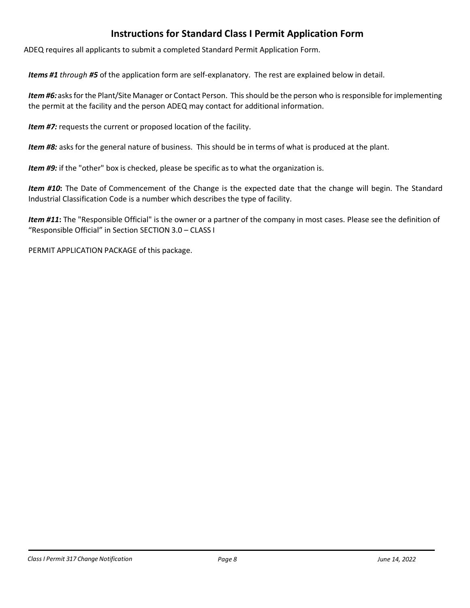## **Instructions for Standard Class I Permit Application Form**

ADEQ requires all applicants to submit a completed Standard Permit Application Form.

*Items #1 through #5* of the application form are self-explanatory. The rest are explained below in detail.

Item #6: asks for the Plant/Site Manager or Contact Person. This should be the person who is responsible for implementing the permit at the facility and the person ADEQ may contact for additional information.

*Item #7:* requests the current or proposed location of the facility.

*Item #8:* asks for the general nature of business. This should be in terms of what is produced at the plant.

*Item #9:* if the "other" box is checked, please be specific as to what the organization is.

*Item #10***:** The Date of Commencement of the Change is the expected date that the change will begin. The Standard Industrial Classification Code is a number which describes the type of facility.

*Item #11***:** The "Responsible Official" is the owner or a partner of the company in most cases. Please see the definition of "Responsible Official" in Section [SECTION](#page-5-0) 3.0 – CLASS I

PERMIT [APPLICATION](#page-5-0) PACKAGE of this package.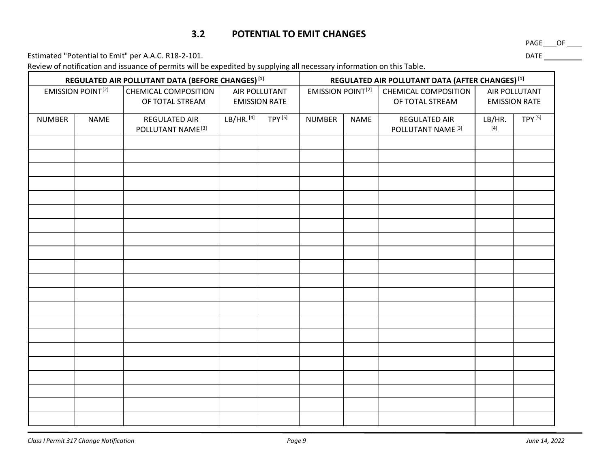#### **3.2 POTENTIAL TO EMIT CHANGES**

Estimated "Potential to Emit" per A.A.C. R18-2-101. <br>
<u>Estimated "Potential to Emit" per A.A.C. R18-2-101.</u>

Review of notification and issuance of permits will be expedited by supplying all necessary information on this Table.

<span id="page-8-0"></span>

| REGULATED AIR POLLUTANT DATA (BEFORE CHANGES) [1] |             |                                                | REGULATED AIR POLLUTANT DATA (AFTER CHANGES) [1] |                    |                              |  |                                                |                                                                                                                                                                                                                                                                                                                                                                                                                                                                                                                                                                                                                                                                                                                                                                                                                                                                                                     |  |
|---------------------------------------------------|-------------|------------------------------------------------|--------------------------------------------------|--------------------|------------------------------|--|------------------------------------------------|-----------------------------------------------------------------------------------------------------------------------------------------------------------------------------------------------------------------------------------------------------------------------------------------------------------------------------------------------------------------------------------------------------------------------------------------------------------------------------------------------------------------------------------------------------------------------------------------------------------------------------------------------------------------------------------------------------------------------------------------------------------------------------------------------------------------------------------------------------------------------------------------------------|--|
| <b>EMISSION POINT[2]</b>                          |             | <b>CHEMICAL COMPOSITION</b><br>OF TOTAL STREAM | AIR POLLUTANT<br><b>EMISSION RATE</b>            |                    | <b>EMISSION POINT[2]</b>     |  | <b>CHEMICAL COMPOSITION</b><br>OF TOTAL STREAM | AIR POLLUTANT<br><b>EMISSION RATE</b>                                                                                                                                                                                                                                                                                                                                                                                                                                                                                                                                                                                                                                                                                                                                                                                                                                                               |  |
| <b>NUMBER</b>                                     | <b>NAME</b> | REGULATED AIR<br>POLLUTANT NAME <sup>[3]</sup> | LB/HR.[4]                                        | TPY <sup>[5]</sup> | <b>NUMBER</b><br><b>NAME</b> |  | REGULATED AIR<br>POLLUTANT NAME <sup>[3]</sup> | TPY <sup>[5]</sup><br>LB/HR.<br>$[4] % \includegraphics[width=0.9\columnwidth]{figures/fig_4} \caption{A graph shows a function of the number of times, and the number of times, in the right, the number of times, in the right, the number of times, in the right, the number of times, in the right, the number of times, in the right, the number of times, in the right, the number of times, in the right, the number of times, in the right, the number of times, in the right, the number of times, in the right, the number of times, in the right, the number of times, in the right, the number of times, in the right, the number of times, in the right, the number of times, in the right, the number of times, in the right, the number of times, in the right, the number of times, in the right, the number of times, in the right, the number of times, in the right, the number$ |  |
|                                                   |             |                                                |                                                  |                    |                              |  |                                                |                                                                                                                                                                                                                                                                                                                                                                                                                                                                                                                                                                                                                                                                                                                                                                                                                                                                                                     |  |
|                                                   |             |                                                |                                                  |                    |                              |  |                                                |                                                                                                                                                                                                                                                                                                                                                                                                                                                                                                                                                                                                                                                                                                                                                                                                                                                                                                     |  |
|                                                   |             |                                                |                                                  |                    |                              |  |                                                |                                                                                                                                                                                                                                                                                                                                                                                                                                                                                                                                                                                                                                                                                                                                                                                                                                                                                                     |  |
|                                                   |             |                                                |                                                  |                    |                              |  |                                                |                                                                                                                                                                                                                                                                                                                                                                                                                                                                                                                                                                                                                                                                                                                                                                                                                                                                                                     |  |
|                                                   |             |                                                |                                                  |                    |                              |  |                                                |                                                                                                                                                                                                                                                                                                                                                                                                                                                                                                                                                                                                                                                                                                                                                                                                                                                                                                     |  |
|                                                   |             |                                                |                                                  |                    |                              |  |                                                |                                                                                                                                                                                                                                                                                                                                                                                                                                                                                                                                                                                                                                                                                                                                                                                                                                                                                                     |  |
|                                                   |             |                                                |                                                  |                    |                              |  |                                                |                                                                                                                                                                                                                                                                                                                                                                                                                                                                                                                                                                                                                                                                                                                                                                                                                                                                                                     |  |
|                                                   |             |                                                |                                                  |                    |                              |  |                                                |                                                                                                                                                                                                                                                                                                                                                                                                                                                                                                                                                                                                                                                                                                                                                                                                                                                                                                     |  |
|                                                   |             |                                                |                                                  |                    |                              |  |                                                |                                                                                                                                                                                                                                                                                                                                                                                                                                                                                                                                                                                                                                                                                                                                                                                                                                                                                                     |  |
|                                                   |             |                                                |                                                  |                    |                              |  |                                                |                                                                                                                                                                                                                                                                                                                                                                                                                                                                                                                                                                                                                                                                                                                                                                                                                                                                                                     |  |
|                                                   |             |                                                |                                                  |                    |                              |  |                                                |                                                                                                                                                                                                                                                                                                                                                                                                                                                                                                                                                                                                                                                                                                                                                                                                                                                                                                     |  |
|                                                   |             |                                                |                                                  |                    |                              |  |                                                |                                                                                                                                                                                                                                                                                                                                                                                                                                                                                                                                                                                                                                                                                                                                                                                                                                                                                                     |  |
|                                                   |             |                                                |                                                  |                    |                              |  |                                                |                                                                                                                                                                                                                                                                                                                                                                                                                                                                                                                                                                                                                                                                                                                                                                                                                                                                                                     |  |
|                                                   |             |                                                |                                                  |                    |                              |  |                                                |                                                                                                                                                                                                                                                                                                                                                                                                                                                                                                                                                                                                                                                                                                                                                                                                                                                                                                     |  |
|                                                   |             |                                                |                                                  |                    |                              |  |                                                |                                                                                                                                                                                                                                                                                                                                                                                                                                                                                                                                                                                                                                                                                                                                                                                                                                                                                                     |  |
|                                                   |             |                                                |                                                  |                    |                              |  |                                                |                                                                                                                                                                                                                                                                                                                                                                                                                                                                                                                                                                                                                                                                                                                                                                                                                                                                                                     |  |
|                                                   |             |                                                |                                                  |                    |                              |  |                                                |                                                                                                                                                                                                                                                                                                                                                                                                                                                                                                                                                                                                                                                                                                                                                                                                                                                                                                     |  |
|                                                   |             |                                                |                                                  |                    |                              |  |                                                |                                                                                                                                                                                                                                                                                                                                                                                                                                                                                                                                                                                                                                                                                                                                                                                                                                                                                                     |  |
|                                                   |             |                                                |                                                  |                    |                              |  |                                                |                                                                                                                                                                                                                                                                                                                                                                                                                                                                                                                                                                                                                                                                                                                                                                                                                                                                                                     |  |
|                                                   |             |                                                |                                                  |                    |                              |  |                                                |                                                                                                                                                                                                                                                                                                                                                                                                                                                                                                                                                                                                                                                                                                                                                                                                                                                                                                     |  |
|                                                   |             |                                                |                                                  |                    |                              |  |                                                |                                                                                                                                                                                                                                                                                                                                                                                                                                                                                                                                                                                                                                                                                                                                                                                                                                                                                                     |  |

PAGE\_\_\_OF \_\_\_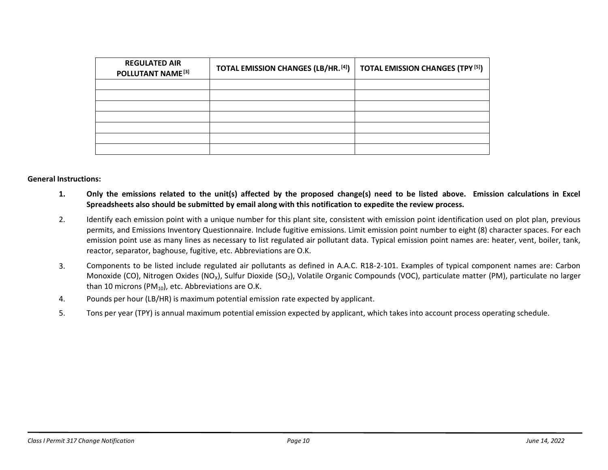| <b>REGULATED AIR</b><br>POLLUTANT NAME <sup>[3]</sup> | <b>TOTAL EMISSION CHANGES (LB/HR. [4])</b> | <b>TOTAL EMISSION CHANGES (TPY [5])</b> |
|-------------------------------------------------------|--------------------------------------------|-----------------------------------------|
|                                                       |                                            |                                         |
|                                                       |                                            |                                         |
|                                                       |                                            |                                         |
|                                                       |                                            |                                         |
|                                                       |                                            |                                         |
|                                                       |                                            |                                         |
|                                                       |                                            |                                         |

#### **General Instructions:**

- **1. Only the emissions related to the unit(s) affected by the proposed change(s) need to be listed above. Emission calculations in Excel Spreadsheets also should be submitted by email along with this notification to expedite the review process.**
- 2. Identify each emission point with a unique number for this plant site, consistent with emission point identification used on plot plan, previous permits, and Emissions Inventory Questionnaire. Include fugitive emissions. Limit emission point number to eight (8) character spaces. For each emission point use as many lines as necessary to list regulated air pollutant data. Typical emission point names are: heater, vent, boiler, tank, reactor, separator, baghouse, fugitive, etc. Abbreviations are O.K.
- 3. Components to be listed include regulated air pollutants as defined in A.A.C. R18-2-101. Examples of typical component names are: Carbon Monoxide (CO), Nitrogen Oxides (NO<sub>x</sub>), Sulfur Dioxide (SO<sub>2</sub>), Volatile Organic Compounds (VOC), particulate matter (PM), particulate no larger than 10 microns (PM $_{10}$ ), etc. Abbreviations are O.K.
- 4. Pounds per hour (LB/HR) is maximum potential emission rate expected by applicant.
- 5. Tons per year (TPY) is annual maximum potential emission expected by applicant, which takes into account process operating schedule.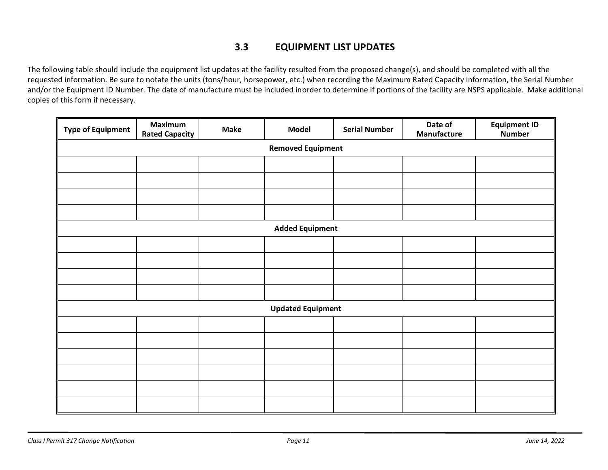### <span id="page-10-0"></span>**3.3 EQUIPMENT LIST UPDATES**

The following table should include the equipment list updates at the facility resulted from the proposed change(s), and should be completed with all the requested information. Be sure to notate the units (tons/hour, horsepower, etc.) when recording the Maximum Rated Capacity information, the Serial Number and/or the Equipment ID Number. The date of manufacture must be included inorder to determine if portions of the facility are NSPS applicable. Make additional copies of this form if necessary.

| <b>Type of Equipment</b> | <b>Maximum</b><br><b>Rated Capacity</b> | <b>Make</b> | <b>Model</b>           | <b>Serial Number</b> | Date of<br>Manufacture | <b>Equipment ID</b><br><b>Number</b> |  |  |  |
|--------------------------|-----------------------------------------|-------------|------------------------|----------------------|------------------------|--------------------------------------|--|--|--|
| <b>Removed Equipment</b> |                                         |             |                        |                      |                        |                                      |  |  |  |
|                          |                                         |             |                        |                      |                        |                                      |  |  |  |
|                          |                                         |             |                        |                      |                        |                                      |  |  |  |
|                          |                                         |             |                        |                      |                        |                                      |  |  |  |
|                          |                                         |             |                        |                      |                        |                                      |  |  |  |
|                          |                                         |             | <b>Added Equipment</b> |                      |                        |                                      |  |  |  |
|                          |                                         |             |                        |                      |                        |                                      |  |  |  |
|                          |                                         |             |                        |                      |                        |                                      |  |  |  |
|                          |                                         |             |                        |                      |                        |                                      |  |  |  |
|                          |                                         |             |                        |                      |                        |                                      |  |  |  |
|                          | <b>Updated Equipment</b>                |             |                        |                      |                        |                                      |  |  |  |
|                          |                                         |             |                        |                      |                        |                                      |  |  |  |
|                          |                                         |             |                        |                      |                        |                                      |  |  |  |
|                          |                                         |             |                        |                      |                        |                                      |  |  |  |
|                          |                                         |             |                        |                      |                        |                                      |  |  |  |
|                          |                                         |             |                        |                      |                        |                                      |  |  |  |
|                          |                                         |             |                        |                      |                        |                                      |  |  |  |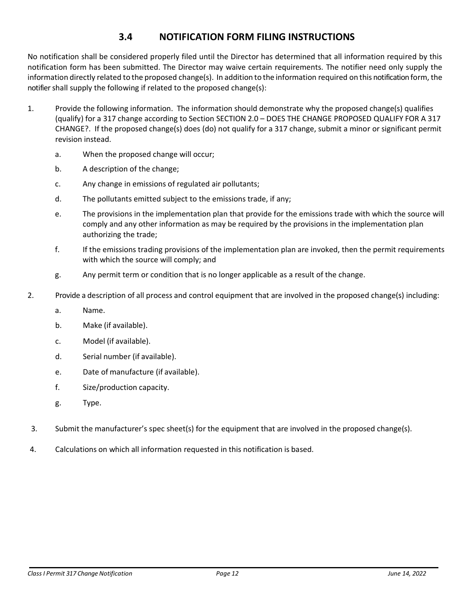## **3.4 NOTIFICATION FORM FILING INSTRUCTIONS**

<span id="page-11-0"></span>No notification shall be considered properly filed until the Director has determined that all information required by this notification form has been submitted. The Director may waive certain requirements. The notifier need only supply the information directly related to the proposed change(s). In addition to the information required on this notification form, the notifier shall supply the following if related to the proposed change(s):

- 1. Provide the following information. The information should demonstrate why the proposed change(s) qualifies (qualify) for a 317 change according to Section SECTION 2.0 – DOES [THE CHANGE PROPOSED QUALIFY](#page-4-0) FOR A 317 [CHANGE?.](#page-4-0) If the proposed change(s) does (do) not qualify for a 317 change, submit a minor or significant permit revision instead.
	- a. When the proposed change will occur;
	- b. A description of the change;
	- c. Any change in emissions of regulated air pollutants;
	- d. The pollutants emitted subject to the emissions trade, if any;
	- e. The provisions in the implementation plan that provide for the emissions trade with which the source will comply and any other information as may be required by the provisions in the implementation plan authorizing the trade;
	- f. If the emissions trading provisions of the implementation plan are invoked, then the permit requirements with which the source will comply; and
	- g. Any permit term or condition that is no longer applicable as a result of the change.
- 2. Provide a description of all process and control equipment that are involved in the proposed change(s) including:
	- a. Name.
	- b. Make (if available).
	- c. Model (if available).
	- d. Serial number (if available).
	- e. Date of manufacture (if available).
	- f. Size/production capacity.
	- g. Type.
- 3. Submit the manufacturer's spec sheet(s) for the equipment that are involved in the proposed change(s).
- 4. Calculations on which all information requested in this notification is based.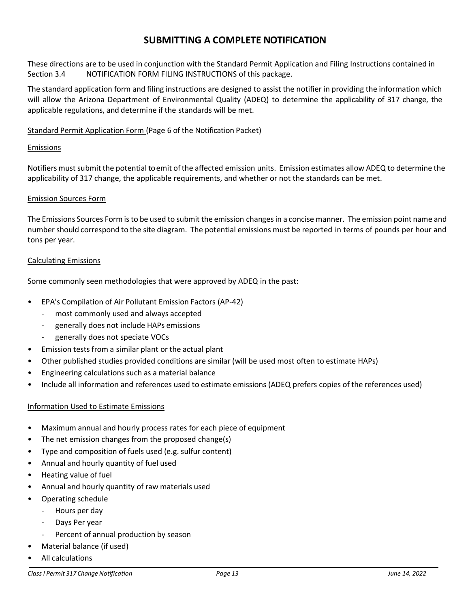#### **SUBMITTING A COMPLETE NOTIFICATION**

These directions are to be used in conjunction with the Standard Permit Application and Filing Instructions contained in Section 3.4 NOTIFICATION [FORM FILING INSTRUCTIONS](#page-11-0) of this package.

The standard application form and filing instructions are designed to assist the notifier in providing the information which will allow the Arizona Department of Environmental Quality (ADEQ) to determine the applicability of 317 change, the applicable regulations, and determine if the standards will be met.

#### Standard Permit Application Form (Page 6 of the Notification Packet)

#### Emissions

Notifiers must submit the potential to emit of the affected emission units. Emission estimates allow ADEQ to determine the applicability of 317 change, the applicable requirements, and whether or not the standards can be met.

#### Emission Sources Form

The Emissions Sources Form is to be used to submit the emission changes in a concise manner. The emission point name and number should correspond to the site diagram. The potential emissions must be reported in terms of pounds per hour and tons per year.

#### Calculating Emissions

Some commonly seen methodologies that were approved by ADEQ in the past:

- EPA's Compilation of Air Pollutant Emission Factors (AP-42)
	- most commonly used and always accepted
	- generally does not include HAPs emissions
	- generally does not speciate VOCs
- Emission tests from a similar plant or the actual plant
- Other published studies provided conditions are similar (will be used most often to estimate HAPs)
- Engineering calculations such as a material balance
- Include all information and references used to estimate emissions (ADEQ prefers copies of the references used)

#### Information Used to Estimate Emissions

- Maximum annual and hourly process rates for each piece of equipment
- The net emission changes from the proposed change(s)
- Type and composition of fuels used (e.g. sulfur content)
- Annual and hourly quantity of fuel used
- Heating value of fuel
- Annual and hourly quantity of raw materials used
- Operating schedule
	- Hours per day
	- Days Per year
	- Percent of annual production by season
- Material balance (if used)
- All calculations